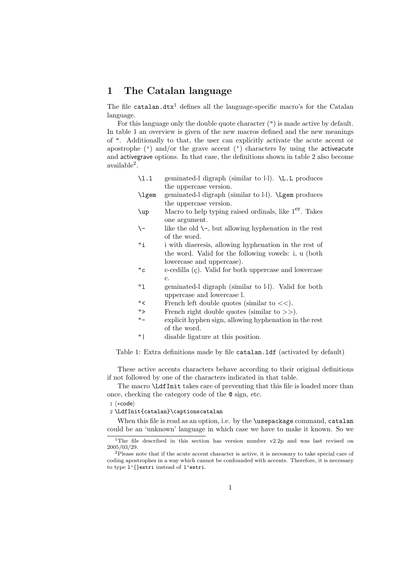## 1 The Catalan language

The file catalan.dtx<sup>1</sup> defines all the language-specific macro's for the Catalan language.

For this language only the double quote character (") is made active by default. In table 1 an overview is given of the new macros defined and the new meanings of ". Additionally to that, the user can explicitly activate the acute accent or apostrophe  $(')$  and/or the grave accent  $(')$  characters by using the activeacute and activegrave options. In that case, the definitions shown in table 2 also become available<sup>2</sup> .

| \1.1  | geminated-1 digraph (similar to 1.1). \L.L produces  |
|-------|------------------------------------------------------|
|       | the uppercase version.                               |
| \lgem | geminated-1 digraph (similar to 1.1). \Lgem produces |
|       | the uppercase version.                               |

- \up Macro to help typing raised ordinals, like 1er. Takes one argument.
- $\setminus$  like the old  $\setminus$ -, but allowing hyphenation in the rest of the word.
- "i i with diaeresis, allowing hyphenation in the rest of the word. Valid for the following vowels: i, u (both lowercase and uppercase).
- $\mathcal{C}^{\text{c}}$  c-cedilla ( $\mathcal{C}$ ). Valid for both uppercase and lowercase c.
- "l geminated-l digraph (similar to l·l). Valid for both uppercase and lowercase l.
- " $\lt$  French left double quotes (similar to  $\lt\lt$ ).
- "> French right double quotes (similar to >>).
- "- explicit hyphen sign, allowing hyphenation in the rest of the word.
- "| disable ligature at this position.

Table 1: Extra definitions made by file catalan.ldf (activated by default)

These active accents characters behave according to their original definitions if not followed by one of the characters indicated in that table.

The macro \LdfInit takes care of preventing that this file is loaded more than once, checking the category code of the @ sign, etc.

1 (\*code)

2 \LdfInit{catalan}\captionscatalan

When this file is read as an option, i.e. by the *\usepackage command*, catalan could be an 'unknown' language in which case we have to make it known. So we

<sup>&</sup>lt;sup>1</sup>The file described in this section has version number  $v2.2p$  and was last revised on 2005/03/29.

 $2P$ lease note that if the acute accent character is active, it is necessary to take special care of coding apostrophes in a way which cannot be confounded with accents. Therefore, it is necessary to type l'{}estri instead of l'estri.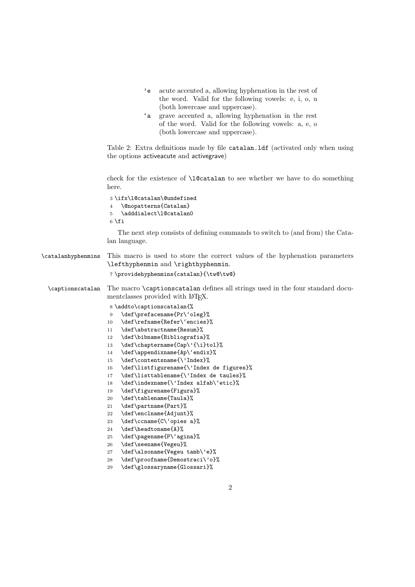- 'e acute accented a, allowing hyphenation in the rest of the word. Valid for the following vowels: e, i, o, u (both lowercase and uppercase).
- 'a grave accented a, allowing hyphenation in the rest of the word. Valid for the following vowels: a, e, o (both lowercase and uppercase).

Table 2: Extra definitions made by file catalan.ldf (activated only when using the options activeacute and activegrave)

check for the existence of **\l@catalan** to see whether we have to do something here.

 \ifx\l@catalan\@undefined \@nopatterns{Catalan} \adddialect\l@catalan0  $6$  \fi

The next step consists of defining commands to switch to (and from) the Catalan language.

\catalanhyphenmins This macro is used to store the correct values of the hyphenation parameters \lefthyphenmin and \righthyphenmin.

```
7 \providehyphenmins{catalan}{\tw@\tw@}
```
- \captionscatalan The macro \captionscatalan defines all strings used in the four standard documentclasses provided with LAT<sub>EX</sub>.
	- 8 \addto\captionscatalan{%
	- 9 \def\prefacename{Pr\'oleg}%
	- 10 \def\refname{Refer\'encies}%
	- 11 \def\abstractname{Resum}%
	- 12 \def\bibname{Bibliografia}%
	- 13 \def\chaptername{Cap\'{\i}tol}%
	- 14 \def\appendixname{Ap\'endix}%
	- 15 \def\contentsname{\'Index}%
	- 16 \def\listfigurename{\'Index de figures}%
	- 17 \def\listtablename{\'Index de taules}%
	- 18 \def\indexname{\'Index alfab\'etic}%
	- 19 \def\figurename{Figura}%
	- 20 \def\tablename{Taula}%
	- 21 \def\partname{Part}%
	- 22 \def\enclname{Adjunt}%
	- 23 \def\ccname{C\'opies a}%
	- 24 \def\headtoname{A}%
	- 25 \def\pagename{P\'agina}%
	- 26 \def\seename{Vegeu}%
	- 27 \def\alsoname{Vegeu tamb\'e}%
	- 28 \def\proofname{Demostraci\'o}%
	- 29 \def\glossaryname{Glossari}%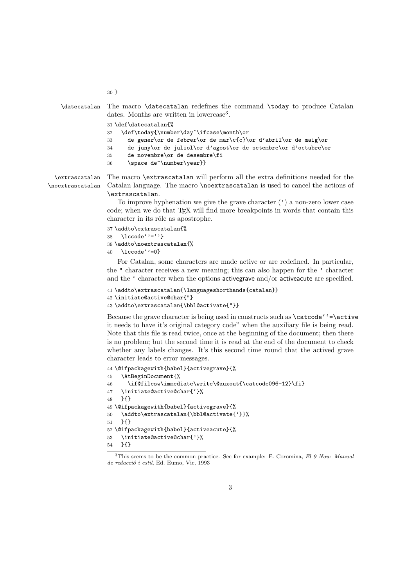| \datecatalan The macro \datecatalan redefines the command \today to produce Catalan<br>dates. Months are written in lowercase <sup>3</sup> . |
|----------------------------------------------------------------------------------------------------------------------------------------------|
| 31 \def\datecatalan{%                                                                                                                        |
| \def\today{\number\day~\ifcase\month\or<br>32                                                                                                |
| de gener or de febrer or de mar $c(c)$ or d'abril or de maig or<br>33                                                                        |
| de juny\or de juliol\or d'agost\or de setembre\or d'octubre\or<br>34                                                                         |
| de novembre\or de desembre\fi<br>35                                                                                                          |
| \space de~\number\year}}<br>36                                                                                                               |
| xtrascatalan The macro \extrascatalan will perform all the extra definitions needed for the                                                  |

 $\setminus$ e \noextrascatalan Catalan language. The macro \noextrascatalan is used to cancel the actions of \extrascatalan.

> To improve hyphenation we give the grave character  $(')$  a non-zero lower case code; when we do that T<sub>EX</sub> will find more breakpoints in words that contain this character in its rôle as apostrophe.

```
37 \addto\extrascatalan{%
38 \lccode''=''}
39 \addto\noextrascatalan{%
40 \lccode''=0}
```
30 }

For Catalan, some characters are made active or are redefined. In particular, the " character receives a new meaning; this can also happen for the ' character and the ' character when the options activegrave and/or activeacute are specified.

```
41 \addto\extrascatalan{\languageshorthands{catalan}}
42 \initiate@active@char{"}
43 \addto\extrascatalan{\bbl@activate{"}}
```
Because the grave character is being used in constructs such as \catcode''=\active it needs to have it's original category code" when the auxiliary file is being read. Note that this file is read twice, once at the beginning of the document; then there is no problem; but the second time it is read at the end of the document to check whether any labels changes. It's this second time round that the actived grave character leads to error messages.

```
44 \@ifpackagewith{babel}{activegrave}{%
45 \AtBeginDocument{%
46 \if@filesw\immediate\write\@auxout{\catcode096=12}\fi}
47 \initiate@active@char{'}%
48 }{}
49 \@ifpackagewith{babel}{activegrave}{%
50 \addto\extrascatalan{\bbl@activate{'}}%
51 }{}
52 \@ifpackagewith{babel}{activeacute}{%
53 \initiate@active@char{'}%
54 }{}
```
<sup>&</sup>lt;sup>3</sup>This seems to be the common practice. See for example: E. Coromina, El 9 Nou: Manual de redacció i estil, Ed. Eumo, Vic, 1993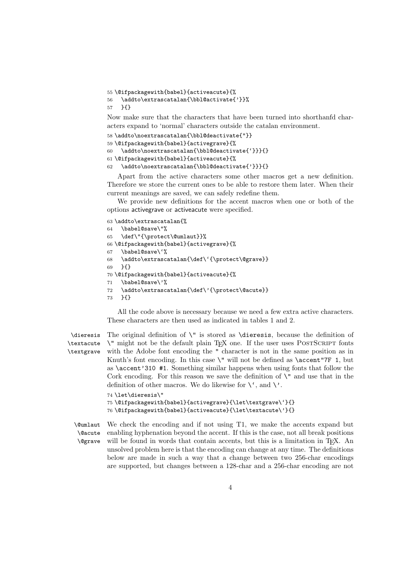55 \@ifpackagewith{babel}{activeacute}{%

```
56 \addto\extrascatalan{\bbl@activate{'}}%
```
57 }{}

Now make sure that the characters that have been turned into shorthanfd characters expand to 'normal' characters outside the catalan environment.

```
58 \addto\noextrascatalan{\bbl@deactivate{"}}
59 \@ifpackagewith{babel}{activegrave}{%
60 \addto\noextrascatalan{\bbl@deactivate{'}}}{}
61 \@ifpackagewith{babel}{activeacute}{%
62 \addto\noextrascatalan{\bbl@deactivate{'}}}{}
```
Apart from the active characters some other macros get a new definition. Therefore we store the current ones to be able to restore them later. When their current meanings are saved, we can safely redefine them.

We provide new definitions for the accent macros when one or both of the options activegrave or activeacute were specified.

```
63 \addto\extrascatalan{%
64 \babel@save\"%
65 \def\"{\protect\@umlaut}}%
66 \@ifpackagewith{babel}{activegrave}{%
67 \babel@save\'%
68 \addto\extrascatalan{\def\'{\protect\@grave}}
69 }{}
70 \@ifpackagewith{babel}{activeacute}{%
71 \babel@save\'%
72 \addto\extrascatalan{\def\'{\protect\@acute}}
73 }{}
```
All the code above is necessary because we need a few extra active characters. These characters are then used as indicated in tables 1 and 2.

\dieresis \textacute \textgrave

The original definition of  $\Upsilon$  is stored as  $\dagger$  states as because the definition of \" might not be the default plain TEX one. If the user uses PostScript fonts with the Adobe font encoding the " character is not in the same position as in Knuth's font encoding. In this case \" will not be defined as \accent"7F 1, but as \accent'310 #1. Something similar happens when using fonts that follow the Cork encoding. For this reason we save the definition of  $\vee$ " and use that in the definition of other macros. We do likewise for  $\setminus$ <sup>'</sup>, and  $\setminus$ '. 74 \let\dieresis\"

```
75 \@ifpackagewith{babel}{activegrave}{\let\textgrave\'}{}
76 \@ifpackagewith{babel}{activeacute}{\let\textacute\'}{}
```
\@umlaut  $\overline{\Omega}$ 

\@grave We check the encoding and if not using T1, we make the accents expand but enabling hyphenation beyond the accent. If this is the case, not all break positions will be found in words that contain accents, but this is a limitation in T<sub>E</sub>X. An unsolved problem here is that the encoding can change at any time. The definitions below are made in such a way that a change between two 256-char encodings are supported, but changes between a 128-char and a 256-char encoding are not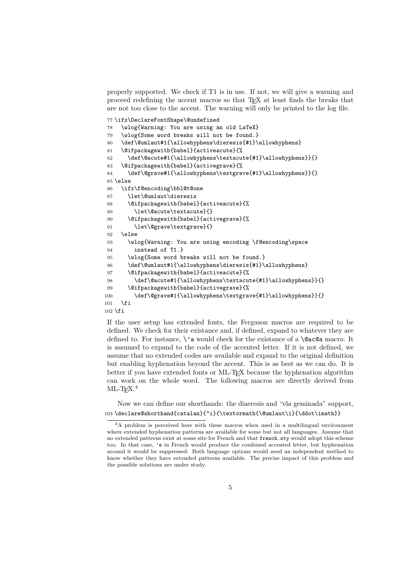properly supported. We check if T1 is in use. If not, we will give a warning and proceed redefining the accent macros so that TEX at least finds the breaks that are not too close to the accent. The warning will only be printed to the log file.

```
77 \ifx\DeclareFontShape\@undefined
78 \wlog{Warning: You are using an old LaTeX}
79 \wlog{Some word breaks will not be found.}
80 \def\@umlaut#1{\allowhyphens\dieresis{#1}\allowhyphens}
81 \@ifpackagewith{babel}{activeacute}{%
82 \def\@acute#1{\allowhyphens\textacute{#1}\allowhyphens}}{}
83 \@ifpackagewith{babel}{activegrave}{%
84 \def\@grave#1{\allowhyphens\textgrave{#1}\allowhyphens}}{}
85 \else
86 \ifx\f@encoding\bbl@t@one
87 \let\@umlaut\dieresis
88 \@ifpackagewith{babel}{activeacute}{%
89 \let\@acute\textacute}{}
90 \@ifpackagewith{babel}{activegrave}{%
91 \let\@grave\textgrave}{}
92 \else
93 \wlog{Warning: You are using encoding \f@encoding\space
94 instead of T1.}
95 \wlog{Some word breaks will not be found.}
96 \def\@umlaut#1{\allowhyphens\dieresis{#1}\allowhyphens}
97 \@ifpackagewith{babel}{activeacute}{%
98 \def\@acute#1{\allowhyphens\textacute{#1}\allowhyphens}}{}
99 \@ifpackagewith{babel}{activegrave}{%
100 \def\@grave#1{\allowhyphens\textgrave{#1}\allowhyphens}}{}
101 \quad \text{If}102 \fi
```
If the user setup has extended fonts, the Ferguson macros are required to be defined. We check for their existance and, if defined, expand to whatever they are defined to. For instance,  $\iota$  a would check for the existance of a  $\@a$ c $@a$  macro. It is assumed to expand to the code of the accented letter. If it is not defined, we assume that no extended codes are available and expand to the original definition but enabling hyphenation beyond the accent. This is as best as we can do. It is better if you have extended fonts or ML-TEX because the hyphenation algorithm can work on the whole word. The following macros are directly derived from  $ML$ -T<sub>F</sub>X.<sup>4</sup>

Now we can define our shorthands: the diaeresis and "ela geminada" support, 103\declare@shorthand{catalan}{"i}{\textormath{\@umlaut\i}{\ddot\imath}}

<sup>4</sup>A problem is perceived here with these macros when used in a multilingual environment where extended hyphenation patterns are available for some but not all languages. Assume that no extended patterns exist at some site for French and that french.sty would adopt this scheme too. In that case, 'e in French would produce the combined accented letter, but hyphenation around it would be suppressed. Both language options would need an independent method to know whether they have extended patterns available. The precise impact of this problem and the possible solutions are under study.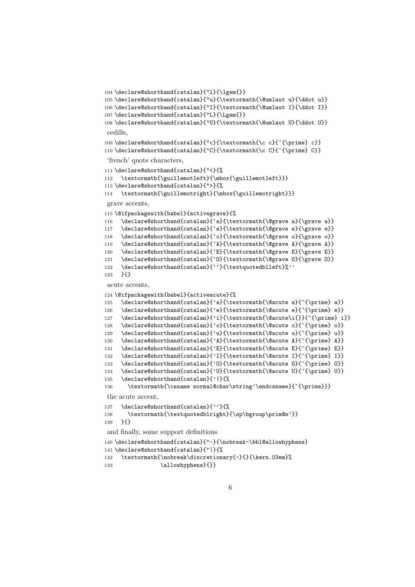```
104 \declare@shorthand{catalan}{"l}{\lgem{}}
105 \declare@shorthand{catalan}{"u}{\textormath{\@umlaut u}{\ddot u}}
106 \declare@shorthand{catalan}{"I}{\textormath{\@umlaut I}{\ddot I}}
107 \declare@shorthand{catalan}{"L}{\Lgem{}}
108 \declare@shorthand{catalan}{"U}{\textormath{\@umlaut U}{\ddot U}}
cedille,
109 \declare@shorthand{catalan}{"c}{\textormath{\c c}{^{\prime} c}}
110 \declare@shorthand{catalan}{"C}{\textormath{\c C}{^{\prime} C}}
'french' quote characters,
111 \declare@shorthand{catalan}{"<}{%
112 \textormath{\guillemotleft}{\mbox{\guillemotleft}}}
113 \declare@shorthand{catalan}{">}{%
114 \textormath{\guillemotright}{\mbox{\guillemotright}}}
grave accents,
115 \@ifpackagewith{babel}{activegrave}{%
116 \declare@shorthand{catalan}{'a}{\textormath{\@grave a}{\grave a}}
117 \declare@shorthand{catalan}{'e}{\textormath{\@grave e}{\grave e}}
118 \declare@shorthand{catalan}{'o}{\textormath{\@grave o}{\grave o}}
119 \declare@shorthand{catalan}{'A}{\textormath{\@grave A}{\grave A}}
120 \declare@shorthand{catalan}{'E}{\textormath{\@grave E}{\grave E}}
121 \declare@shorthand{catalan}{'0}{\textormath{\@grave 0}{\grave 0}}
122 \declare@shorthand{catalan}{''}{\textquotedblleft}%''
123 }{}
acute accents,
124 \@ifpackagewith{babel}{activeacute}{%
125 \declare@shorthand{catalan}{'a}{\textormath{\@acute a}{^{\prime} a}}
126 \declare@shorthand{catalan}{'e}{\textormath{\@acute e}{^{\prime} e}}
127 \declare@shorthand{catalan}{'i}{\textormath{\@acute\i{}}{^{\prime} i}}
128 \declare@shorthand{catalan}{'o}{\textormath{\@acute o}{^{\prime} o}}
129 \declare@shorthand{catalan}{'u}{\textormath{\@acute u}{^{\prime} u}}
130 \declare@shorthand{catalan}{'A}{\textormath{\@acute A}{^{\prime} A}}
131 \declare@shorthand{catalan}{'E}{\textormath{\@acute E}{^{\prime} E}}
132 \declare@shorthand{catalan}{'I}{\textormath{\@acute I}{^{\prime} I}}
133 \declare@shorthand{catalan}{'0}{\textormath{\@acute 0}{^{\prime} 0}}
134 \declare@shorthand{catalan}{'U}{\textormath{\@acute U}{^{\prime} U}}
135 \declare@shorthand{catalan}{'|}{%
136 \textormath{\csname normal@char\string'\endcsname}{^{\prime}}}
the acute accent,
137 \declare@shorthand{catalan}{''}{%
138 \textormath{\textquotedblright}{\sp\bgroup\prim@s'}}
139 }{}
and finally, some support definitions
140 \declare@shorthand{catalan}{"-}{\nobreak-\bbl@allowhyphens}
141 \declare@shorthand{catalan}{"|}{%
142 \textormath{\nobreak\discretionary{-}{}{\kern.03em}%
143 \dllowhyphens } { } }
```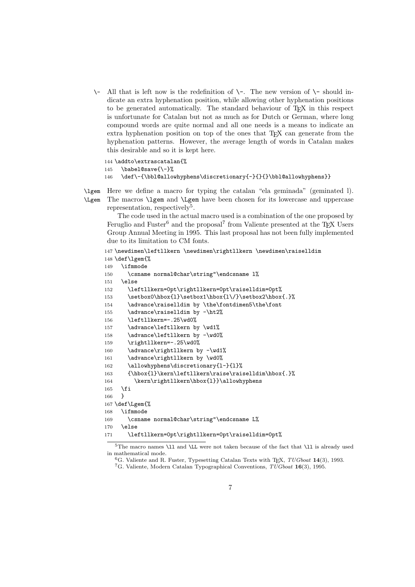$\setminus$ - All that is left now is the redefinition of  $\setminus$ -. The new version of  $\setminus$ - should indicate an extra hyphenation position, while allowing other hyphenation positions to be generated automatically. The standard behaviour of TEX in this respect is unfortunate for Catalan but not as much as for Dutch or German, where long compound words are quite normal and all one needs is a means to indicate an extra hyphenation position on top of the ones that T<sub>E</sub>X can generate from the hyphenation patterns. However, the average length of words in Catalan makes this desirable and so it is kept here.

```
144 \addto\extrascatalan{%
145 \babel@save{\-}%
146 \def\-{\bbl@allowhyphens\discretionary{-}{}{}\bbl@allowhyphens}}
```
 $\lceil \log m \rceil$ \Lgem Here we define a macro for typing the catalan "ela geminada" (geminated l). The macros \lgem and \Lgem have been chosen for its lowercase and uppercase representation, respectively<sup>5</sup>.

The code used in the actual macro used is a combination of the one proposed by Feruglio and Fuster<sup>6</sup> and the proposal<sup>7</sup> from Valiente presented at the T<sub>E</sub>X Users Group Annual Meeting in 1995. This last proposal has not been fully implemented due to its limitation to CM fonts.

```
147 \newdimen\leftllkern \newdimen\rightllkern \newdimen\raiselldim
148 \def\lgem{%
149 \ifmmode
150 \csname normal@char\string"\endcsname 1%
151 \else
152 \leftllkern=0pt\rightllkern=0pt\raiselldim=0pt%
153 \setbox0\hbox{1}\setbox1\hbox{l\/}\setbox2\hbox{.}%
154 \advance\raiselldim by \the\fontdimen5\the\font
155 \advance\raiselldim by -\ht2%
156 \leftllkern=-.25\wd0%
157 \advance\leftllkern by \wd1%
158 \advance\leftllkern by -\wd0%
159 \rightllkern=-.25\wd0%
160 \advance\rightllkern by -\wd1%
161 \advance\rightllkern by \wd0%
162 \allowhyphens\discretionary{1-}{1}%
163 {\hbox{l}\kern\leftllkern\raise\raiselldim\hbox{.}%
164 \kern\rightllkern\hbox{1}}\allowhyphens
165 \fi
166 }
167 \def\Lgem{%
168 \ifmmode
169 \csname normal@char\string"\endcsname L%
170 \else
171 \leftllkern=0pt\rightllkern=0pt\raiselldim=0pt%
```
 $5$ The macro names \ll and \LL were not taken because of the fact that \ll is already used in mathematical mode.

 ${}^6$ G. Valiente and R. Fuster, Typesetting Catalan Texts with TFX, TUGboat 14(3), 1993.

<sup>&</sup>lt;sup>7</sup>G. Valiente, Modern Catalan Typographical Conventions,  $TUGboat$  **16**(3), 1995.